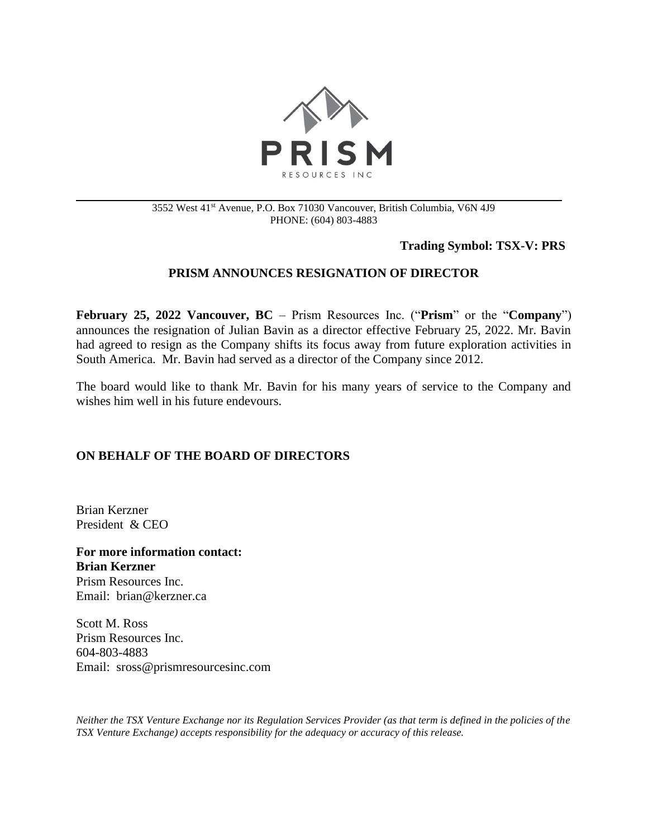

#### 3552 West 41st Avenue, P.O. Box 71030 Vancouver, British Columbia, V6N 4J9 PHONE: (604) 803-4883

### **Trading Symbol: TSX-V: PRS**

# **PRISM ANNOUNCES RESIGNATION OF DIRECTOR**

**February 25, 2022 Vancouver, BC** – Prism Resources Inc. ("**Prism**" or the "**Company**") announces the resignation of Julian Bavin as a director effective February 25, 2022. Mr. Bavin had agreed to resign as the Company shifts its focus away from future exploration activities in South America. Mr. Bavin had served as a director of the Company since 2012.

The board would like to thank Mr. Bavin for his many years of service to the Company and wishes him well in his future endevours.

## **ON BEHALF OF THE BOARD OF DIRECTORS**

Brian Kerzner President & CEO

**For more information contact: Brian Kerzner** Prism Resources Inc. Email: brian@kerzner.ca

Scott M. Ross Prism Resources Inc. 604-803-4883 Email: sross@prismresourcesinc.com

*Neither the TSX Venture Exchange nor its Regulation Services Provider (as that term is defined in the policies of the TSX Venture Exchange) accepts responsibility for the adequacy or accuracy of this release.*